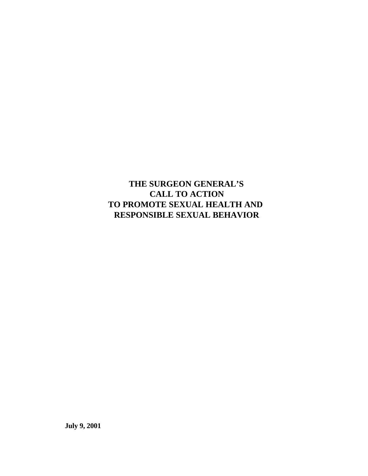**THE SURGEON GENERAL'S CALL TO ACTION TO PROMOTE SEXUAL HEALTH AND RESPONSIBLE SEXUAL BEHAVIOR**

**July 9, 2001**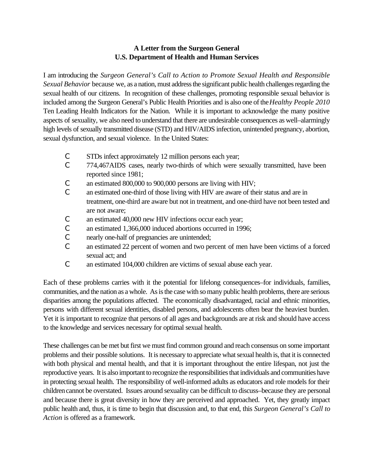# **A Letter from the Surgeon General U.S. Department of Health and Human Services**

I am introducing the *Surgeon General's Call to Action to Promote Sexual Health and Responsible Sexual Behavior* because we, as a nation, must address the significant public health challenges regarding the sexual health of our citizens. In recognition of these challenges, promoting responsible sexual behavior is included among the Surgeon General's Public Health Priorities and is also one of the *Healthy People 2010* Ten Leading Health Indicators for the Nation. While it is important to acknowledge the many positive aspects of sexuality, we also need to understand that there are undesirable consequences as well–alarmingly high levels of sexually transmitted disease (STD) and HIV/AIDS infection, unintended pregnancy, abortion, sexual dysfunction, and sexual violence. In the United States:

- C STDs infect approximately 12 million persons each year;
- C 774,467AIDS cases, nearly two-thirds of which were sexually transmitted, have been reported since 1981;
- C an estimated 800,000 to 900,000 persons are living with HIV;
- C an estimated one-third of those living with HIV are aware of their status and are in treatment, one-third are aware but not in treatment, and one-third have not been tested and are not aware;
- C an estimated 40,000 new HIV infections occur each year;
- C an estimated 1,366,000 induced abortions occurred in 1996;
- C nearly one-half of pregnancies are unintended;
- C an estimated 22 percent of women and two percent of men have been victims of a forced sexual act; and
- C an estimated 104,000 children are victims of sexual abuse each year.

Each of these problems carries with it the potential for lifelong consequences–for individuals, families, communities, and the nation as a whole. As is the case with so many public health problems, there are serious disparities among the populations affected. The economically disadvantaged, racial and ethnic minorities, persons with different sexual identities, disabled persons, and adolescents often bear the heaviest burden. Yet it is important to recognize that persons of all ages and backgrounds are at risk and should have access to the knowledge and services necessary for optimal sexual health.

These challenges can be met but first we must find common ground and reach consensus on some important problems and their possible solutions. It is necessary to appreciate what sexual health is, that it is connected with both physical and mental health, and that it is important throughout the entire lifespan, not just the reproductive years. It is also important to recognize the responsibilities that individuals and communities have in protecting sexual health. The responsibility of well-informed adults as educators and role models for their children cannot be overstated. Issues around sexuality can be difficult to discuss–because they are personal and because there is great diversity in how they are perceived and approached. Yet, they greatly impact public health and, thus, it is time to begin that discussion and, to that end, this *Surgeon General's Call to Action* is offered as a framework.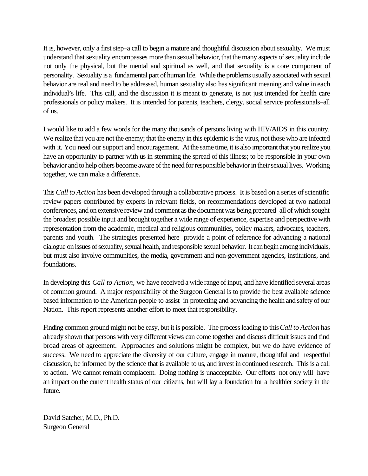It is, however, only a first step–a call to begin a mature and thoughtful discussion about sexuality. We must understand that sexuality encompasses more than sexual behavior, that the many aspects of sexuality include not only the physical, but the mental and spiritual as well, and that sexuality is a core component of personality. Sexuality is a fundamental part of human life. While the problems usually associated with sexual behavior are real and need to be addressed, human sexuality also has significant meaning and value in each individual's life. This call, and the discussion it is meant to generate, is not just intended for health care professionals or policy makers. It is intended for parents, teachers, clergy, social service professionals–all of us.

I would like to add a few words for the many thousands of persons living with HIV/AIDS in this country. We realize that you are not the enemy; that the enemy in this epidemic is the virus, not those who are infected with it. You need our support and encouragement. At the same time, it is also important that you realize you have an opportunity to partner with us in stemming the spread of this illness; to be responsible in your own behavior and to help others become aware of the need for responsible behavior in their sexual lives. Working together, we can make a difference.

This *Call to Action* has been developed through a collaborative process. It is based on a series of scientific review papers contributed by experts in relevant fields, on recommendations developed at two national conferences, and on extensive review and comment as the document was being prepared–all of which sought the broadest possible input and brought together a wide range of experience, expertise and perspective with representation from the academic, medical and religious communities, policy makers, advocates, teachers, parents and youth. The strategies presented here provide a point of reference for advancing a national dialogue on issues of sexuality, sexual health, and responsible sexual behavior. It can begin among individuals, but must also involve communities, the media, government and non-government agencies, institutions, and foundations.

In developing this *Call to Action,* we have received a wide range of input, and have identified several areas of common ground. A major responsibility of the Surgeon General is to provide the best available science based information to the American people to assist in protecting and advancing the health and safety of our Nation. This report represents another effort to meet that responsibility.

Finding common ground might not be easy, but it is possible. The process leading to this *Call to Action* has already shown that persons with very different views can come together and discuss difficult issues and find broad areas of agreement. Approaches and solutions might be complex, but we do have evidence of success. We need to appreciate the diversity of our culture, engage in mature, thoughtful and respectful discussion, be informed by the science that is available to us, and invest in continued research. This is a call to action. We cannot remain complacent. Doing nothing is unacceptable. Our efforts not only will have an impact on the current health status of our citizens, but will lay a foundation for a healthier society in the future.

David Satcher, M.D., Ph.D. Surgeon General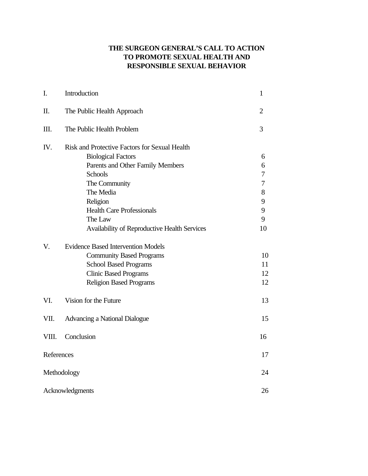# **THE SURGEON GENERAL'S CALL TO ACTION TO PROMOTE SEXUAL HEALTH AND RESPONSIBLE SEXUAL BEHAVIOR**

| I.              | Introduction                                  | $\mathbf{1}$   |
|-----------------|-----------------------------------------------|----------------|
| Π.              | The Public Health Approach                    | $\overline{2}$ |
| Ш.              | The Public Health Problem                     | 3              |
| IV.             | Risk and Protective Factors for Sexual Health |                |
|                 | <b>Biological Factors</b>                     | 6              |
|                 | Parents and Other Family Members              | 6              |
|                 | Schools                                       | 7              |
|                 | The Community                                 | 7              |
|                 | The Media                                     | 8              |
|                 | Religion                                      | 9              |
|                 | <b>Health Care Professionals</b>              | 9              |
|                 | The Law                                       | 9              |
|                 | Availability of Reproductive Health Services  | 10             |
| V.              | <b>Evidence Based Intervention Models</b>     |                |
|                 | <b>Community Based Programs</b>               | 10             |
|                 | <b>School Based Programs</b>                  | 11             |
|                 | <b>Clinic Based Programs</b>                  | 12             |
|                 | <b>Religion Based Programs</b>                | 12             |
| VI.             | Vision for the Future                         | 13             |
| VII.            | Advancing a National Dialogue                 | 15             |
| VIII.           | Conclusion                                    | 16             |
| References      |                                               | 17             |
| Methodology     |                                               | 24             |
| Acknowledgments |                                               | 26             |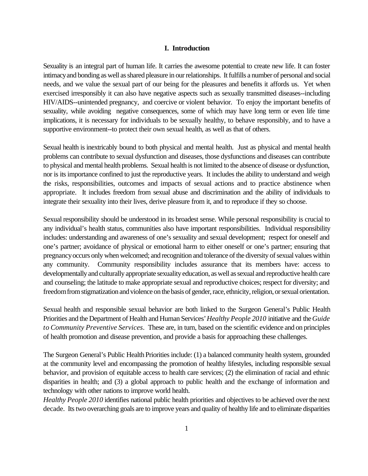#### **I. Introduction**

Sexuality is an integral part of human life. It carries the awesome potential to create new life. It can foster intimacy and bonding as well as shared pleasure in our relationships. It fulfills a number of personal and social needs, and we value the sexual part of our being for the pleasures and benefits it affords us. Yet when exercised irresponsibly it can also have negative aspects such as sexually transmitted diseases--including HIV/AIDS--unintended pregnancy, and coercive or violent behavior. To enjoy the important benefits of sexuality, while avoiding negative consequences, some of which may have long term or even life time implications, it is necessary for individuals to be sexually healthy, to behave responsibly, and to have a supportive environment--to protect their own sexual health, as well as that of others.

Sexual health is inextricably bound to both physical and mental health. Just as physical and mental health problems can contribute to sexual dysfunction and diseases, those dysfunctions and diseases can contribute to physical and mental health problems. Sexual health is not limited to the absence of disease or dysfunction, nor is its importance confined to just the reproductive years. It includes the ability to understand and weigh the risks, responsibilities, outcomes and impacts of sexual actions and to practice abstinence when appropriate. It includes freedom from sexual abuse and discrimination and the ability of individuals to integrate their sexuality into their lives, derive pleasure from it, and to reproduce if they so choose.

Sexual responsibility should be understood in its broadest sense. While personal responsibility is crucial to any individual's health status, communities also have important responsibilities. Individual responsibility includes: understanding and awareness of one's sexuality and sexual development; respect for oneself and one's partner; avoidance of physical or emotional harm to either oneself or one's partner; ensuring that pregnancy occurs only when welcomed; and recognition and tolerance of the diversity of sexual values within any community. Community responsibility includes assurance that its members have: access to developmentally and culturally appropriate sexuality education, as well as sexual and reproductive health care and counseling; the latitude to make appropriate sexual and reproductive choices; respect for diversity; and freedom from stigmatization and violence on the basis of gender, race, ethnicity, religion, or sexual orientation.

Sexual health and responsible sexual behavior are both linked to the Surgeon General's Public Health Priorities and the Department of Health and Human Services' *Healthy People 2010* initiative and the *Guide to Community Preventive Services*. These are, in turn, based on the scientific evidence and on principles of health promotion and disease prevention, and provide a basis for approaching these challenges.

The Surgeon General's Public Health Priorities include: (1) a balanced community health system, grounded at the community level and encompassing the promotion of healthy lifestyles, including responsible sexual behavior, and provision of equitable access to health care services; (2) the elimination of racial and ethnic disparities in health; and (3) a global approach to public health and the exchange of information and technology with other nations to improve world health.

*Healthy People 2010* identifies national public health priorities and objectives to be achieved over the next decade. Its two overarching goals are to improve years and quality of healthy life and to eliminate disparities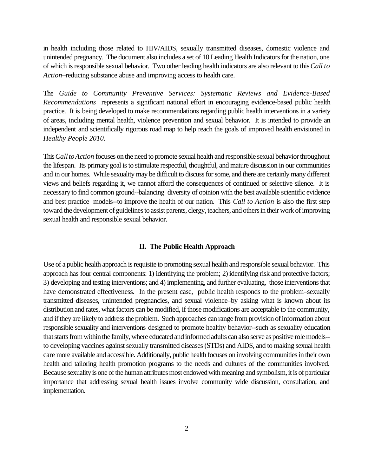in health including those related to HIV/AIDS, sexually transmitted diseases, domestic violence and unintended pregnancy. The document also includes a set of 10 Leading Health Indicators for the nation, one of which is responsible sexual behavior. Two other leading health indicators are also relevant to this *Call to Action*–reducing substance abuse and improving access to health care.

The *Guide to Community Preventive Services: Systematic Reviews and Evidence-Based Recommendations* represents a significant national effort in encouraging evidence-based public health practice. It is being developed to make recommendations regarding public health interventions in a variety of areas, including mental health, violence prevention and sexual behavior. It is intended to provide an independent and scientifically rigorous road map to help reach the goals of improved health envisioned in *Healthy People 2010.*

This *Call to Action* focuses on the need to promote sexual health and responsible sexual behavior throughout the lifespan. Its primary goal is to stimulate respectful, thoughtful, and mature discussion in our communities and in our homes. While sexuality may be difficult to discuss for some, and there are certainly many different views and beliefs regarding it, we cannot afford the consequences of continued or selective silence. It is necessary to find common ground--balancing diversity of opinion with the best available scientific evidence and best practice models--to improve the health of our nation. This *Call to Action* is also the first step toward the development of guidelines to assist parents, clergy, teachers, and others in their work of improving sexual health and responsible sexual behavior.

#### **II. The Public Health Approach**

Use of a public health approach is requisite to promoting sexual health and responsible sexual behavior. This approach has four central components: 1) identifying the problem; 2) identifying risk and protective factors; 3) developing and testing interventions; and 4) implementing, and further evaluating, those interventions that have demonstrated effectiveness. In the present case, public health responds to the problem–sexually transmitted diseases, unintended pregnancies, and sexual violence–by asking what is known about its distribution and rates, what factors can be modified, if those modifications are acceptable to the community, and if they are likely to address the problem. Such approaches can range from provision of information about responsible sexuality and interventions designed to promote healthy behavior--such as sexuality education that starts from within the family, where educated and informed adults can also serve as positive role models- to developing vaccines against sexually transmitted diseases (STDs) and AIDS, and to making sexual health care more available and accessible. Additionally, public health focuses on involving communities in their own health and tailoring health promotion programs to the needs and cultures of the communities involved. Because sexuality is one of the human attributes most endowed with meaning and symbolism, it is of particular importance that addressing sexual health issues involve community wide discussion, consultation, and implementation.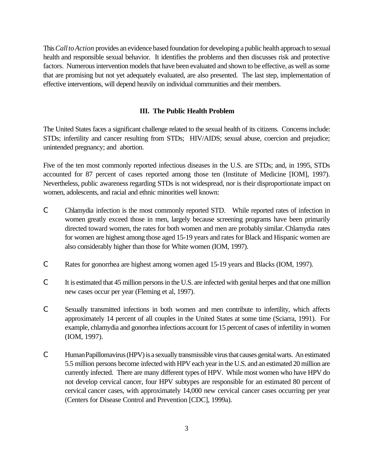This*Call to Action* provides an evidence based foundation for developing a public health approach to sexual health and responsible sexual behavior. It identifies the problems and then discusses risk and protective factors. Numerous intervention models that have been evaluated and shown to be effective, as well as some that are promising but not yet adequately evaluated, are also presented. The last step, implementation of effective interventions, will depend heavily on individual communities and their members.

#### **III. The Public Health Problem**

The United States faces a significant challenge related to the sexual health of its citizens. Concerns include: STDs; infertility and cancer resulting from STDs; HIV/AIDS; sexual abuse, coercion and prejudice; unintended pregnancy; and abortion.

Five of the ten most commonly reported infectious diseases in the U.S. are STDs; and, in 1995, STDs accounted for 87 percent of cases reported among those ten (Institute of Medicine [IOM], 1997). Nevertheless, public awareness regarding STDs is not widespread, nor is their disproportionate impact on women, adolescents, and racial and ethnic minorities well known:

- C Chlamydia infection is the most commonly reported STD. While reported rates of infection in women greatly exceed those in men, largely because screening programs have been primarily directed toward women, the rates for both women and men are probably similar. Chlamydia rates for women are highest among those aged 15-19 years and rates for Black and Hispanic women are also considerably higher than those for White women (IOM, 1997).
- C Rates for gonorrhea are highest among women aged 15-19 years and Blacks (IOM, 1997).
- C It is estimated that 45 million persons in the U.S. are infected with genital herpes and that one million new cases occur per year (Fleming et al, 1997).
- C Sexually transmitted infections in both women and men contribute to infertility, which affects approximately 14 percent of all couples in the United States at some time (Sciarra, 1991). For example, chlamydia and gonorrhea infections account for 15 percent of cases of infertility in women (IOM, 1997).
- C Human Papillomavirus (HPV) is a sexually transmissible virus that causes genital warts. An estimated 5.5 million persons become infected with HPV each year in the U.S. and an estimated 20 million are currently infected. There are many different types of HPV. While most women who have HPV do not develop cervical cancer, four HPV subtypes are responsible for an estimated 80 percent of cervical cancer cases, with approximately 14,000 new cervical cancer cases occurring per year (Centers for Disease Control and Prevention [CDC], 1999a).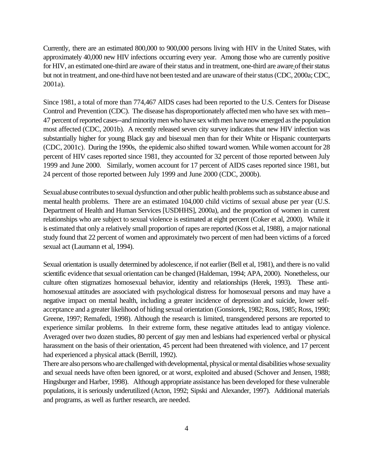Currently, there are an estimated 800,000 to 900,000 persons living with HIV in the United States, with approximately 40,000 new HIV infections occurring every year. Among those who are currently positive for HIV, an estimated one-third are aware of their status and in treatment, one-third are aware of their status but not in treatment, and one-third have not been tested and are unaware of their status (CDC, 2000a; CDC, 2001a).

Since 1981, a total of more than 774,467 AIDS cases had been reported to the U.S. Centers for Disease Control and Prevention (CDC). The disease has disproportionately affected men who have sex with men-- 47 percent of reported cases--and minority men who have sex with men have now emerged as the population most affected (CDC, 2001b). A recently released seven city survey indicates that new HIV infection was substantially higher for young Black gay and bisexual men than for their White or Hispanic counterparts (CDC, 2001c). During the 1990s, the epidemic also shifted toward women. While women account for 28 percent of HIV cases reported since 1981, they accounted for 32 percent of those reported between July 1999 and June 2000. Similarly, women account for 17 percent of AIDS cases reported since 1981, but 24 percent of those reported between July 1999 and June 2000 (CDC, 2000b).

Sexual abuse contributes to sexual dysfunction and other public health problems such as substance abuse and mental health problems. There are an estimated 104,000 child victims of sexual abuse per year (U.S. Department of Health and Human Services [USDHHS], 2000a), and the proportion of women in current relationships who are subject to sexual violence is estimated at eight percent (Coker et al, 2000). While it is estimated that only a relatively small proportion of rapes are reported (Koss et al, 1988), a major national study found that 22 percent of women and approximately two percent of men had been victims of a forced sexual act (Laumann et al, 1994).

Sexual orientation is usually determined by adolescence, if not earlier (Bell et al, 1981), and there is no valid scientific evidence that sexual orientation can be changed (Haldeman, 1994; APA, 2000). Nonetheless, our culture often stigmatizes homosexual behavior, identity and relationships (Herek, 1993). These antihomosexual attitudes are associated with psychological distress for homosexual persons and may have a negative impact on mental health, including a greater incidence of depression and suicide, lower selfacceptance and a greater likelihood of hiding sexual orientation (Gonsiorek, 1982; Ross, 1985; Ross, 1990; Greene, 1997; Remafedi, 1998). Although the research is limited, transgendered persons are reported to experience similar problems. In their extreme form, these negative attitudes lead to antigay violence. Averaged over two dozen studies, 80 percent of gay men and lesbians had experienced verbal or physical harassment on the basis of their orientation, 45 percent had been threatened with violence, and 17 percent had experienced a physical attack (Berrill, 1992).

There are also persons who are challenged with developmental, physical or mental disabilities whose sexuality and sexual needs have often been ignored, or at worst, exploited and abused (Schover and Jensen, 1988; Hingsburger and Harber, 1998). Although appropriate assistance has been developed for these vulnerable populations, it is seriously underutilized (Acton, 1992; Sipski and Alexander, 1997). Additional materials and programs, as well as further research, are needed.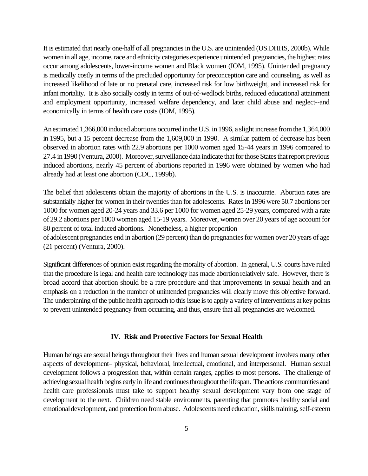It is estimated that nearly one-half of all pregnancies in the U.S. are unintended (US.DHHS, 2000b). While women in all age, income, race and ethnicity categories experience unintended pregnancies, the highest rates occur among adolescents, lower-income women and Black women (IOM, 1995). Unintended pregnancy is medically costly in terms of the precluded opportunity for preconception care and counseling, as well as increased likelihood of late or no prenatal care, increased risk for low birthweight, and increased risk for infant mortality. It is also socially costly in terms of out-of-wedlock births, reduced educational attainment and employment opportunity, increased welfare dependency, and later child abuse and neglect--and economically in terms of health care costs (IOM, 1995).

An estimated 1,366,000 induced abortions occurred in the U.S. in 1996, a slight increase from the 1,364,000 in 1995, but a 15 percent decrease from the 1,609,000 in 1990. A similar pattern of decrease has been observed in abortion rates with 22.9 abortions per 1000 women aged 15-44 years in 1996 compared to 27.4 in 1990 (Ventura, 2000). Moreover, surveillance data indicate that for those States that report previous induced abortions, nearly 45 percent of abortions reported in 1996 were obtained by women who had already had at least one abortion (CDC, 1999b).

The belief that adolescents obtain the majority of abortions in the U.S. is inaccurate. Abortion rates are substantially higher for women in their twenties than for adolescents. Rates in 1996 were 50.7 abortions per 1000 for women aged 20-24 years and 33.6 per 1000 for women aged 25-29 years, compared with a rate of 29.2 abortions per 1000 women aged 15-19 years. Moreover, women over 20 years of age account for 80 percent of total induced abortions. Nonetheless, a higher proportion of adolescent pregnancies end in abortion (29 percent) than do pregnancies for women over 20 years of age (21 percent) (Ventura, 2000).

Significant differences of opinion exist regarding the morality of abortion. In general, U.S. courts have ruled that the procedure is legal and health care technology has made abortion relatively safe. However, there is broad accord that abortion should be a rare procedure and that improvements in sexual health and an emphasis on a reduction in the number of unintended pregnancies will clearly move this objective forward. The underpinning of the public health approach to this issue is to apply a variety of interventions at key points to prevent unintended pregnancy from occurring, and thus, ensure that all pregnancies are welcomed.

#### **IV. Risk and Protective Factors for Sexual Health**

Human beings are sexual beings throughout their lives and human sexual development involves many other aspects of development– physical, behavioral, intellectual, emotional, and interpersonal. Human sexual development follows a progression that, within certain ranges, applies to most persons. The challenge of achieving sexual health begins early in life and continues throughout the lifespan. The actions communities and health care professionals must take to support healthy sexual development vary from one stage of development to the next. Children need stable environments, parenting that promotes healthy social and emotional development, and protection from abuse. Adolescents need education, skills training, self-esteem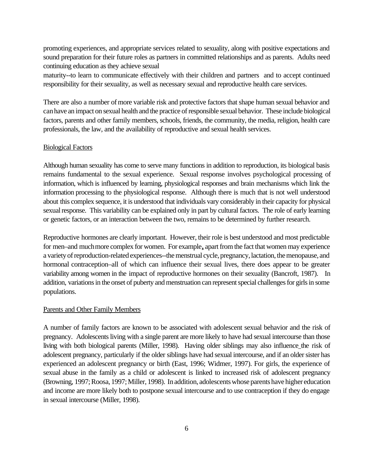promoting experiences, and appropriate services related to sexuality, along with positive expectations and sound preparation for their future roles as partners in committed relationships and as parents. Adults need continuing education as they achieve sexual

maturity--to learn to communicate effectively with their children and partners and to accept continued responsibility for their sexuality, as well as necessary sexual and reproductive health care services.

There are also a number of more variable risk and protective factors that shape human sexual behavior and can have an impact on sexual health and the practice of responsible sexual behavior. These include biological factors, parents and other family members, schools, friends, the community, the media, religion, health care professionals, the law, and the availability of reproductive and sexual health services.

#### Biological Factors

Although human sexuality has come to serve many functions in addition to reproduction, its biological basis remains fundamental to the sexual experience. Sexual response involves psychological processing of information, which is influenced by learning, physiological responses and brain mechanisms which link the information processing to the physiological response. Although there is much that is not well understood about this complex sequence, it is understood that individuals vary considerably in their capacity for physical sexual response. This variability can be explained only in part by cultural factors. The role of early learning or genetic factors, or an interaction between the two, remains to be determined by further research.

Reproductive hormones are clearly important. However, their role is best understood and most predictable for men–and much more complex for women. For example**,** apart from the fact that women may experience a variety of reproduction-related experiences--the menstrual cycle, pregnancy, lactation, the menopause, and hormonal contraception–all of which can influence their sexual lives, there does appear to be greater variability among women in the impact of reproductive hormones on their sexuality (Bancroft, 1987). In addition, variations in the onset of puberty and menstruation can represent special challenges for girls in some populations.

#### Parents and Other Family Members

A number of family factors are known to be associated with adolescent sexual behavior and the risk of pregnancy. Adolescents living with a single parent are more likely to have had sexual intercourse than those living with both biological parents (Miller, 1998). Having older siblings may also influence the risk of adolescent pregnancy, particularly if the older siblings have had sexual intercourse, and if an older sister has experienced an adolescent pregnancy or birth (East, 1996; Widmer, 1997). For girls, the experience of sexual abuse in the family as a child or adolescent is linked to increased risk of adolescent pregnancy (Browning, 1997; Roosa, 1997; Miller, 1998). In addition, adolescents whose parents have higher education and income are more likely both to postpone sexual intercourse and to use contraception if they do engage in sexual intercourse (Miller, 1998).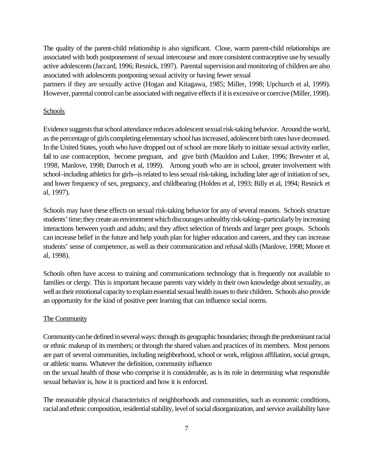The quality of the parent-child relationship is also significant. Close, warm parent-child relationships are associated with both postponement of sexual intercourse and more consistent contraceptive use by sexually active adolescents (Jaccard, 1996; Resnick, 1997). Parental supervision and monitoring of children are also associated with adolescents postponing sexual activity or having fewer sexual

partners if they are sexually active (Hogan and Kitagawa, 1985; Miller, 1998; Upchurch et al, 1999). However, parental control can be associated with negative effects if it is excessive or coercive (Miller, 1998).

#### Schools

Evidence suggests that school attendance reduces adolescent sexual risk-taking behavior. Around the world, as the percentage of girls completing elementary school has increased, adolescent birth rates have decreased. In the United States, youth who have dropped out of school are more likely to initiate sexual activity earlier, fail to use contraception, become pregnant, and give birth (Mauldon and Luker, 1996; Brewster et al, 1998, Manlove, 1998; Darroch et al, 1999). Among youth who are in school, greater involvement with school–including athletics for girls--is related to less sexual risk-taking, including later age of initiation of sex, and lower frequency of sex, pregnancy, and childbearing (Holden et al, 1993; Billy et al, 1994; Resnick et al, 1997).

Schools may have these effects on sexual risk-taking behavior for any of several reasons. Schools structure students' time; they create an environment which discourages unhealthy risk-taking--particularly by increasing interactions between youth and adults; and they affect selection of friends and larger peer groups. Schools can increase belief in the future and help youth plan for higher education and careers, and they can increase students' sense of competence, as well as their communication and refusal skills (Manlove, 1998; Moore et al, 1998).

Schools often have access to training and communications technology that is frequently not available to families or clergy. This is important because parents vary widely in their own knowledge about sexuality, as well as their emotional capacity to explain essential sexual health issues to their children. Schools also provide an opportunity for the kind of positive peer learning that can influence social norms.

#### The Community

Community can be defined in several ways: through its geographic boundaries; through the predominant racial or ethnic makeup of its members; or through the shared values and practices of its members. Most persons are part of several communities, including neighborhood, school or work, religious affiliation, social groups, or athletic teams. Whatever the definition, community influence

on the sexual health of those who comprise it is considerable, as is its role in determining what responsible sexual behavior is, how it is practiced and how it is enforced.

The measurable physical characteristics of neighborhoods and communities, such as economic conditions, racial and ethnic composition, residential stability, level of social disorganization, and service availability have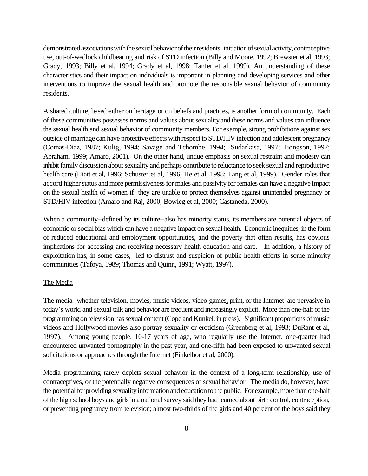demonstrated associations with the sexual behavior of their residents–initiation of sexual activity, contraceptive use, out-of-wedlock childbearing and risk of STD infection (Billy and Moore, 1992; Brewster et al, 1993; Grady, 1993; Billy et al, 1994; Grady et al, 1998; Tanfer et al, 1999). An understanding of these characteristics and their impact on individuals is important in planning and developing services and other interventions to improve the sexual health and promote the responsible sexual behavior of community residents.

A shared culture, based either on heritage or on beliefs and practices, is another form of community. Each of these communities possesses norms and values about sexuality and these norms and values can influence the sexual health and sexual behavior of community members. For example, strong prohibitions against sex outside of marriage can have protective effects with respect to STD/HIV infection and adolescent pregnancy (Comas-Diaz, 1987; Kulig, 1994; Savage and Tchombe, 1994; Sudarkasa, 1997; Tiongson, 1997; Abraham, 1999; Amaro, 2001). On the other hand, undue emphasis on sexual restraint and modesty can inhibit family discussion about sexuality and perhaps contribute to reluctance to seek sexual and reproductive health care (Hiatt et al, 1996; Schuster et al, 1996; He et al, 1998; Tang et al, 1999). Gender roles that accord higher status and more permissiveness for males and passivity for females can have a negative impact on the sexual health of women if they are unable to protect themselves against unintended pregnancy or STD/HIV infection (Amaro and Raj, 2000; Bowleg et al, 2000; Castaneda, 2000).

When a community--defined by its culture--also has minority status, its members are potential objects of economic or socialbias which can have a negative impact on sexual health. Economic inequities, in the form of reduced educational and employment opportunities, and the poverty that often results, has obvious implications for accessing and receiving necessary health education and care. In addition, a history of exploitation has, in some cases, led to distrust and suspicion of public health efforts in some minority communities (Tafoya, 1989; Thomas and Quinn, 1991; Wyatt, 1997).

#### The Media

The media--whether television, movies, music videos, video games**,** print, or the Internet–are pervasive in today's world and sexual talk and behavior are frequent and increasingly explicit. More than one-half of the programming on television has sexual content (Cope and Kunkel, in press). Significant proportions of music videos and Hollywood movies also portray sexuality or eroticism (Greenberg et al, 1993; DuRant et al, 1997). Among young people, 10-17 years of age, who regularly use the Internet, one-quarter had encountered unwanted pornography in the past year, and one-fifth had been exposed to unwanted sexual solicitations or approaches through the Internet (Finkelhor et al, 2000).

Media programming rarely depicts sexual behavior in the context of a long-term relationship, use of contraceptives, or the potentially negative consequences of sexual behavior. The media do, however, have the potential for providing sexuality information and education to the public. For example, more than one-half of the high school boys and girls in a national survey said they had learned about birth control, contraception, or preventing pregnancy from television; almost two-thirds of the girls and 40 percent of the boys said they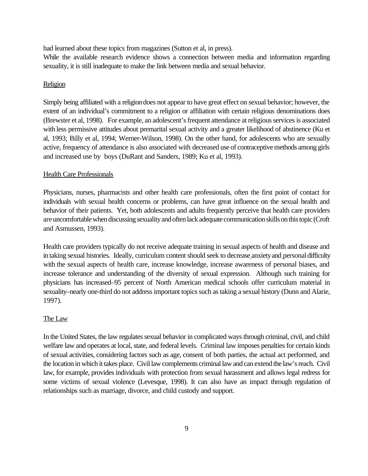had learned about these topics from magazines (Sutton et al, in press).

While the available research evidence shows a connection between media and information regarding sexuality, it is still inadequate to make the link between media and sexual behavior.

## Religion

Simply being affiliated with a religion does not appear to have great effect on sexual behavior; however, the extent of an individual's commitment to a religion or affiliation with certain religious denominations does (Brewster et al, 1998). For example, an adolescent's frequent attendance at religious services is associated with less permissive attitudes about premarital sexual activity and a greater likelihood of abstinence (Ku et al, 1993; Billy et al, 1994; Werner-Wilson, 1998). On the other hand, for adolescents who are sexually active, frequency of attendance is also associated with decreased use of contraceptive methods among girls and increased use by boys (DuRant and Sanders, 1989; Ku et al, 1993).

## Health Care Professionals

Physicians, nurses, pharmacists and other health care professionals, often the first point of contact for individuals with sexual health concerns or problems, can have great influence on the sexual health and behavior of their patients. Yet, both adolescents and adults frequently perceive that health care providers are uncomfortable when discussing sexuality and often lack adequate communication skills on this topic (Croft and Asmussen, 1993).

Health care providers typically do not receive adequate training in sexual aspects of health and disease and in taking sexual histories. Ideally, curriculum content should seek to decrease anxiety and personal difficulty with the sexual aspects of health care, increase knowledge, increase awareness of personal biases, and increase tolerance and understanding of the diversity of sexual expression. Although such training for physicians has increased–95 percent of North American medical schools offer curriculum material in sexuality–nearly one-third do not address important topics such as taking a sexual history (Dunn and Alarie, 1997).

# The Law

In the United States, the law regulates sexual behavior in complicated ways through criminal, civil, and child welfare law and operates at local, state, and federal levels. Criminal law imposes penalties for certain kinds of sexual activities, considering factors such as age, consent of both parties, the actual act performed, and the location in which it takes place. Civil law complements criminal law and can extend the law's reach. Civil law, for example, provides individuals with protection from sexual harassment and allows legal redress for some victims of sexual violence (Levesque, 1998). It can also have an impact through regulation of relationships such as marriage, divorce, and child custody and support.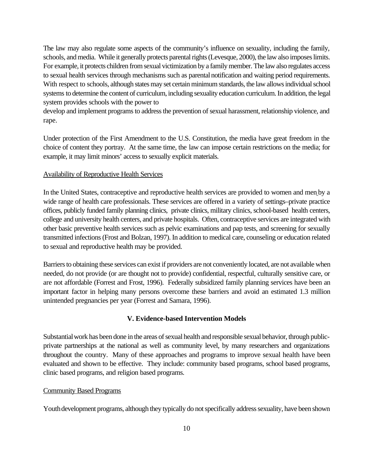The law may also regulate some aspects of the community's influence on sexuality, including the family, schools, and media. While it generally protects parental rights (Levesque, 2000), the law also imposes limits. For example, it protects children from sexual victimization by a family member. The law also regulates access to sexual health services through mechanisms such as parental notification and waiting period requirements. With respect to schools, although states may set certain minimum standards, the law allows individual school systems to determine the content of curriculum, including sexuality education curriculum. In addition, the legal system provides schools with the power to

develop and implement programs to address the prevention of sexual harassment, relationship violence, and rape.

Under protection of the First Amendment to the U.S. Constitution, the media have great freedom in the choice of content they portray. At the same time, the law can impose certain restrictions on the media; for example, it may limit minors' access to sexually explicit materials.

## Availability of Reproductive Health Services

In the United States, contraceptive and reproductive health services are provided to women and men by a wide range of health care professionals. These services are offered in a variety of settings–private practice offices, publicly funded family planning clinics, private clinics, military clinics, school-based health centers, college and university health centers, and private hospitals. Often, contraceptive services are integrated with other basic preventive health services such as pelvic examinations and pap tests, and screening for sexually transmitted infections (Frost and Bolzan, 1997). In addition to medical care, counseling or education related to sexual and reproductive health may be provided.

Barriers to obtaining these services can exist if providers are not conveniently located, are not available when needed, do not provide (or are thought not to provide) confidential, respectful, culturally sensitive care, or are not affordable (Forrest and Frost, 1996). Federally subsidized family planning services have been an important factor in helping many persons overcome these barriers and avoid an estimated 1.3 million unintended pregnancies per year (Forrest and Samara, 1996).

#### **V. Evidence-based Intervention Models**

Substantial work has been done in the areas of sexual health and responsible sexual behavior, through publicprivate partnerships at the national as well as community level, by many researchers and organizations throughout the country. Many of these approaches and programs to improve sexual health have been evaluated and shown to be effective. They include: community based programs, school based programs, clinic based programs, and religion based programs.

#### Community Based Programs

Youth development programs, although they typically do not specifically address sexuality, have been shown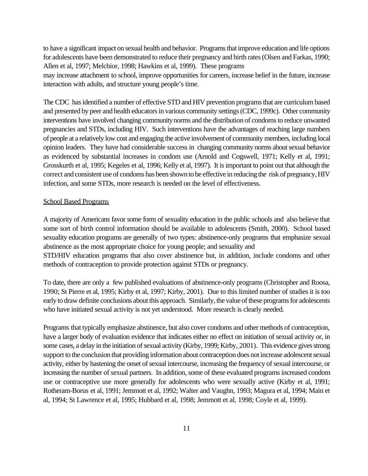to have a significant impact on sexual health and behavior. Programs that improve education and life options for adolescents have been demonstrated to reduce their pregnancy and birth rates (Olsen and Farkas, 1990; Allen et al, 1997; Melchior, 1998; Hawkins et al, 1999). These programs

may increase attachment to school, improve opportunities for careers, increase belief in the future, increase interaction with adults, and structure young people's time.

The CDC has identified a number of effective STD and HIV prevention programs that are curriculum based and presented by peer and health educators in various community settings (CDC, 1999c). Other community interventions have involved changing community norms and the distribution of condoms to reduce unwanted pregnancies and STDs, including HIV. Such interventions have the advantages of reaching large numbers of people at a relatively low cost and engaging the active involvement of community members, including local opinion leaders. They have had considerable success in changing community norms about sexual behavior as evidenced by substantial increases in condom use (Arnold and Cogswell, 1971; Kelly et al, 1991; Grosskurth et al, 1995; Kegeles et al, 1996; Kelly et al, 1997). It is important to point out that although the correct and consistent use of condoms has been shown to be effective in reducing the risk of pregnancy, HIV infection, and some STDs, more research is needed on the level of effectiveness.

#### School Based Programs

A majority of Americans favor some form of sexuality education in the public schools and also believe that some sort of birth control information should be available to adolescents (Smith, 2000). School based sexuality education programs are generally of two types: abstinence-only programs that emphasize sexual abstinence as the most appropriate choice for young people; and sexuality and

STD/HIV education programs that also cover abstinence but, in addition, include condoms and other methods of contraception to provide protection against STDs or pregnancy.

To date, there are only a few published evaluations of abstinence-only programs (Christopher and Roosa, 1990; St Pierre et al, 1995; Kirby et al, 1997; Kirby, 2001). Due to this limited number of studies it is too early to draw definite conclusions about this approach. Similarly, the value of these programs for adolescents who have initiated sexual activity is not yet understood. More research is clearly needed.

Programs that typically emphasize abstinence, but also cover condoms and other methods of contraception, have a larger body of evaluation evidence that indicates either no effect on initiation of sexual activity or, in some cases, a delay in the initiation of sexual activity (Kirby, 1999; Kirby, 2001). This evidence gives strong support to the conclusion that providing information about contraception does not increase adolescent sexual activity, either by hastening the onset of sexual intercourse, increasing the frequency of sexual intercourse, or increasing the number of sexual partners. In addition, some of these evaluated programs increased condom use or contraceptive use more generally for adolescents who were sexually active (Kirby et al, 1991; Rotheram-Borus et al, 1991; Jemmott et al, 1992; Walter and Vaughn, 1993; Magura et al, 1994; Main et al, 1994; St Lawrence et al, 1995; Hubbard et al, 1998; Jemmott et al, 1998; Coyle et al, 1999).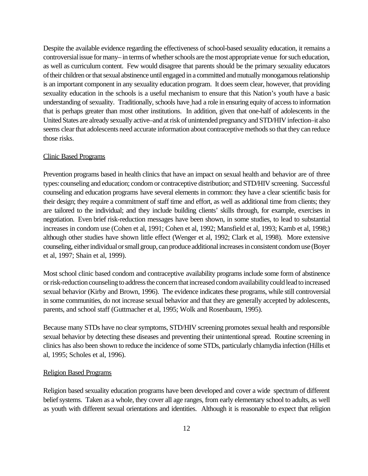Despite the available evidence regarding the effectiveness of school-based sexuality education, it remains a controversial issue for many– in terms of whether schools are the most appropriate venue for such education, as well as curriculum content. Few would disagree that parents should be the primary sexuality educators of their children or that sexual abstinence until engaged in a committed and mutually monogamous relationship is an important component in any sexuality education program. It does seem clear, however, that providing sexuality education in the schools is a useful mechanism to ensure that this Nation's youth have a basic understanding of sexuality. Traditionally, schools have had a role in ensuring equity of access to information that is perhaps greater than most other institutions. In addition, given that one-half of adolescents in the United States are already sexually active–and at risk of unintended pregnancy and STD/HIV infection–it also seems clear that adolescents need accurate information about contraceptive methods so that they can reduce those risks.

#### Clinic Based Programs

Prevention programs based in health clinics that have an impact on sexual health and behavior are of three types: counseling and education; condom or contraceptive distribution; and STD/HIV screening. Successful counseling and education programs have several elements in common: they have a clear scientific basis for their design; they require a commitment of staff time and effort, as well as additional time from clients; they are tailored to the individual; and they include building clients' skills through, for example, exercises in negotiation. Even brief risk-reduction messages have been shown, in some studies, to lead to substantial increases in condom use (Cohen et al, 1991; Cohen et al, 1992; Mansfield et al, 1993; Kamb et al, 1998;) although other studies have shown little effect (Wenger et al, 1992; Clark et al, 1998). More extensive counseling, either individual or small group, can produce additional increases in consistent condom use (Boyer et al, 1997; Shain et al, 1999).

Most school clinic based condom and contraceptive availability programs include some form of abstinence or risk-reduction counseling to address the concern that increased condom availability could lead to increased sexual behavior (Kirby and Brown, 1996). The evidence indicates these programs, while still controversial in some communities, do not increase sexual behavior and that they are generally accepted by adolescents, parents, and school staff (Guttmacher et al, 1995; Wolk and Rosenbaum, 1995).

Because many STDs have no clear symptoms, STD/HIV screening promotes sexual health and responsible sexual behavior by detecting these diseases and preventing their unintentional spread. Routine screening in clinics has also been shown to reduce the incidence of some STDs, particularly chlamydia infection (Hillis et al, 1995; Scholes et al, 1996).

#### Religion Based Programs

Religion based sexuality education programs have been developed and cover a wide spectrum of different belief systems. Taken as a whole, they cover all age ranges, from early elementary school to adults, as well as youth with different sexual orientations and identities. Although it is reasonable to expect that religion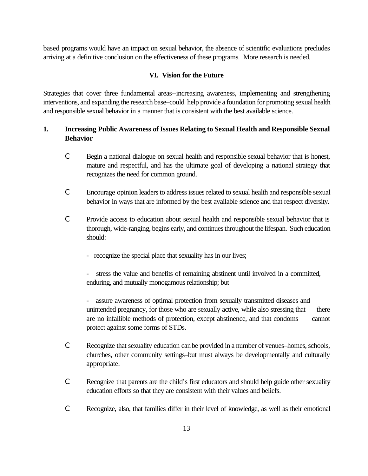based programs would have an impact on sexual behavior, the absence of scientific evaluations precludes arriving at a definitive conclusion on the effectiveness of these programs. More research is needed.

#### **VI. Vision for the Future**

Strategies that cover three fundamental areas--increasing awareness, implementing and strengthening interventions, and expanding the research base–could help provide a foundation for promoting sexual health and responsible sexual behavior in a manner that is consistent with the best available science.

# **1. Increasing Public Awareness of Issues Relating to Sexual Health and Responsible Sexual Behavior**

- C Begin a national dialogue on sexual health and responsible sexual behavior that is honest, mature and respectful, and has the ultimate goal of developing a national strategy that recognizes the need for common ground.
- C Encourage opinion leaders to address issues related to sexual health and responsible sexual behavior in ways that are informed by the best available science and that respect diversity.
- C Provide access to education about sexual health and responsible sexual behavior that is thorough, wide-ranging, begins early, and continues throughout the lifespan. Such education should:
	- recognize the special place that sexuality has in our lives;

- stress the value and benefits of remaining abstinent until involved in a committed, enduring, and mutually monogamous relationship; but

- assure awareness of optimal protection from sexually transmitted diseases and unintended pregnancy, for those who are sexually active, while also stressing that there are no infallible methods of protection, except abstinence, and that condoms cannot protect against some forms of STDs.

- C Recognize that sexuality education can be provided in a number of venues–homes, schools, churches, other community settings–but must always be developmentally and culturally appropriate.
- C Recognize that parents are the child's first educators and should help guide other sexuality education efforts so that they are consistent with their values and beliefs.
- C Recognize, also, that families differ in their level of knowledge, as well as their emotional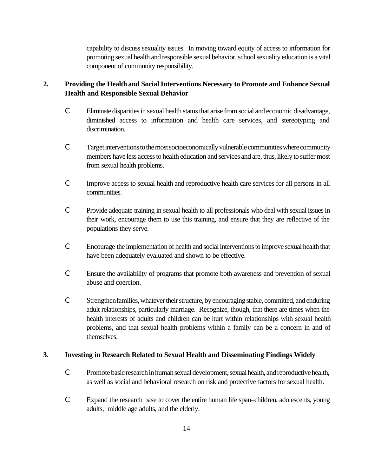capability to discuss sexuality issues. In moving toward equity of access to information for promoting sexual health and responsible sexual behavior, school sexuality education is a vital component of community responsibility.

# **2. Providing the Health and Social Interventions Necessary to Promote and Enhance Sexual Health and Responsible Sexual Behavior**

- C Eliminate disparities in sexual health status that arise from social and economic disadvantage, diminished access to information and health care services, and stereotyping and discrimination.
- C Target interventions to the most socioeconomically vulnerable communities where community members have less access to health education and services and are, thus, likely to suffer most from sexual health problems.
- C Improve access to sexual health and reproductive health care services for all persons in all communities.
- C Provide adequate training in sexual health to all professionals who deal with sexual issues in their work, encourage them to use this training, and ensure that they are reflective of the populations they serve.
- C Encourage the implementation of health and social interventions to improve sexual health that have been adequately evaluated and shown to be effective.
- C Ensure the availability of programs that promote both awareness and prevention of sexual abuse and coercion.
- C Strengthen families, whatever their structure, by encouraging stable, committed, and enduring adult relationships, particularly marriage. Recognize, though, that there are times when the health interests of adults and children can be hurt within relationships with sexual health problems, and that sexual health problems within a family can be a concern in and of themselves.

# **3. Investing in Research Related to Sexual Health and Disseminating Findings Widely**

- C Promote basic research in human sexual development, sexual health, and reproductive health, as well as social and behavioral research on risk and protective factors for sexual health.
- C Expand the research base to cover the entire human life span–children, adolescents, young adults, middle age adults, and the elderly.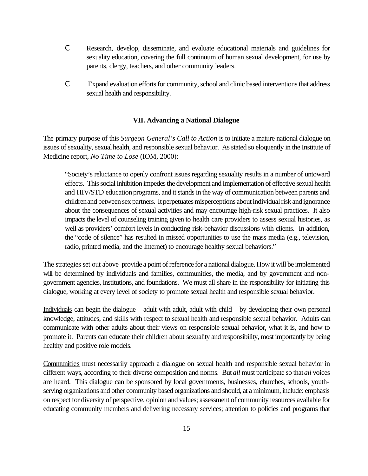- C Research, develop, disseminate, and evaluate educational materials and guidelines for sexuality education, covering the full continuum of human sexual development, for use by parents, clergy, teachers, and other community leaders.
- C Expand evaluation efforts for community, school and clinic based interventions that address sexual health and responsibility.

## **VII. Advancing a National Dialogue**

The primary purpose of this *Surgeon General's Call to Action* is to initiate a mature national dialogue on issues of sexuality, sexual health, and responsible sexual behavior. As stated so eloquently in the Institute of Medicine report, *No Time to Lose* (IOM, 2000):

"Society's reluctance to openly confront issues regarding sexuality results in a number of untoward effects. This social inhibition impedes the development and implementation of effective sexual health and HIV/STD education programs, and it stands in the way of communication between parents and children and between sex partners. It perpetuates misperceptions about individual risk and ignorance about the consequences of sexual activities and may encourage high-risk sexual practices. It also impacts the level of counseling training given to health care providers to assess sexual histories, as well as providers' comfort levels in conducting risk-behavior discussions with clients. In addition, the "code of silence" has resulted in missed opportunities to use the mass media (e.g., television, radio, printed media, and the Internet) to encourage healthy sexual behaviors."

The strategies set out above provide a point of reference for a national dialogue. How it will be implemented will be determined by individuals and families, communities, the media, and by government and nongovernment agencies, institutions, and foundations. We must all share in the responsibility for initiating this dialogue, working at every level of society to promote sexual health and responsible sexual behavior.

Individuals can begin the dialogue – adult with adult, adult with child – by developing their own personal knowledge, attitudes, and skills with respect to sexual health and responsible sexual behavior. Adults can communicate with other adults about their views on responsible sexual behavior, what it is, and how to promote it. Parents can educate their children about sexuality and responsibility, most importantly by being healthy and positive role models.

Communities must necessarily approach a dialogue on sexual health and responsible sexual behavior in different ways, according to their diverse composition and norms. But *all* must participate so that *all* voices are heard. This dialogue can be sponsored by local governments, businesses, churches, schools, youthserving organizations and other community based organizations and should, at a minimum, include: emphasis on respect for diversity of perspective, opinion and values; assessment of community resources available for educating community members and delivering necessary services; attention to policies and programs that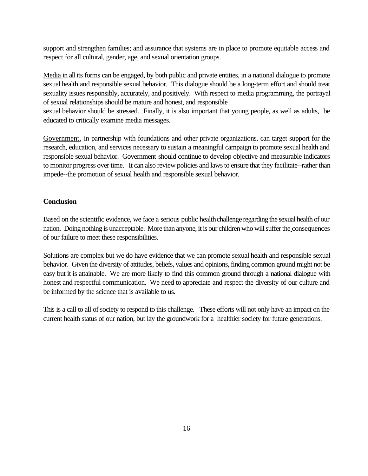support and strengthen families; and assurance that systems are in place to promote equitable access and respect for all cultural, gender, age, and sexual orientation groups.

Media in all its forms can be engaged, by both public and private entities, in a national dialogue to promote sexual health and responsible sexual behavior. This dialogue should be a long-term effort and should treat sexuality issues responsibly, accurately, and positively. With respect to media programming, the portrayal of sexual relationships should be mature and honest, and responsible sexual behavior should be stressed. Finally, it is also important that young people, as well as adults, be educated to critically examine media messages.

Government, in partnership with foundations and other private organizations, can target support for the research, education, and services necessary to sustain a meaningful campaign to promote sexual health and responsible sexual behavior. Government should continue to develop objective and measurable indicators to monitor progress over time. It can also review policies and laws to ensure that they facilitate--rather than impede--the promotion of sexual health and responsible sexual behavior.

## **Conclusion**

Based on the scientific evidence, we face a serious public health challenge regarding the sexual health of our nation. Doing nothing is unacceptable. More than anyone, it is our children who will suffer the consequences of our failure to meet these responsibilities.

Solutions are complex but we do have evidence that we can promote sexual health and responsible sexual behavior. Given the diversity of attitudes, beliefs, values and opinions, finding common ground might not be easy but it is attainable. We are more likely to find this common ground through a national dialogue with honest and respectful communication. We need to appreciate and respect the diversity of our culture and be informed by the science that is available to us.

This is a call to all of society to respond to this challenge. These efforts will not only have an impact on the current health status of our nation, but lay the groundwork for a healthier society for future generations.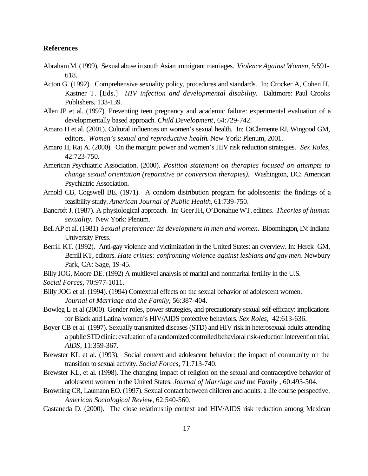## **References**

- Abraham M. (1999). Sexual abuse in south Asian immigrant marriages. *Violence Against Women*, 5:591- 618.
- Acton G. (1992). Comprehensive sexuality policy, procedures and standards. In: Crocker A, Cohen H, Kastner T. [Eds.] *HIV infection and developmental disability*. Baltimore: Paul Crooks Publishers, 133-139.
- Allen JP et al. (1997). Preventing teen pregnancy and academic failure: experimental evaluation of a developmentally based approach. *Child Development*, 64:729-742.
- Amaro H et al. (2001). Cultural influences on women's sexual health. In: DiClemente RJ, Wingood GM, editors. *Women's sexual and reproductive health*. New York: Plenum, 2001.
- Amaro H, Raj A. (2000). On the margin: power and women's HIV risk reduction strategies. *Sex Roles,* 42:723-750.
- American Psychiatric Association. (2000). *Position statement on therapies focused on attempts to change sexual orientation (reparative or conversion therapies).* Washington, DC: American Psychiatric Association.
- Arnold CB, Cogswell BE. (1971). A condom distribution program for adolescents: the findings of a feasibility study. *American Journal of Public Health*, 61:739-750.
- Bancroft J. (1987). A physiological approach. In: Geer JH, O'Donahue WT, editors. *Theories of human sexuality*. New York: Plenum.
- Bell AP et al. (1981) *Sexual preference: its development in men and women*. Bloomington, IN: Indiana University Press.
- Berrill KT. (1992). Anti-gay violence and victimization in the United States: an overview. In: Herek GM, Berrill KT, editors. *Hate crimes: confronting violence against lesbians and gay men*. Newbury Park, CA: Sage, 19-45.
- Billy JOG, Moore DE. (1992) A multilevel analysis of marital and nonmarital fertility in the U.S.

*Social Forces,* 70:977-1011.

- Billy JOG et al. (1994). (1994) Contextual effects on the sexual behavior of adolescent women. *Journal of Marriage and the Family*, 56:387-404.
- Bowleg L et al (2000). Gender roles, power strategies, and precautionary sexual self-efficacy: implications for Black and Latina women's HIV/AIDS protective behaviors. *Sex Roles,* 42:613-636.
- Boyer CB et al. (1997). Sexually transmitted diseases (STD) and HIV risk in heterosexual adults attending a public STD clinic: evaluation of a randomized controlled behavioral risk-reduction intervention trial. *AIDS*, 11:359-367.
- Brewster KL et al. (1993). Social context and adolescent behavior: the impact of community on the transition to sexual activity. *Social Forces*, 71:713-740.
- Brewster KL, et al. (1998). The changing impact of religion on the sexual and contraceptive behavior of adolescent women in the United States. *Journal of Marriage and the Family* , 60:493-504.
- Browning CR, Laumann EO. (1997). Sexual contact between children and adults: a life course perspective. *American Sociological Review*, 62:540-560.
- Castaneda D. (2000). The close relationship context and HIV/AIDS risk reduction among Mexican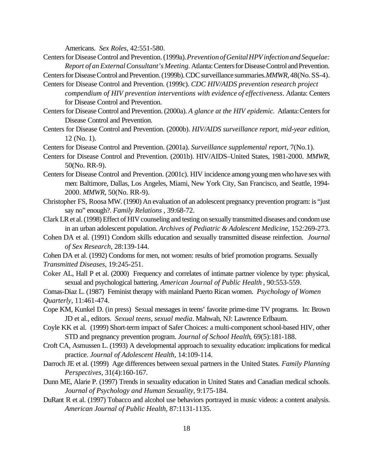Americans. *Sex Roles*, 42:551-580.

- Centers for Disease Control and Prevention. (1999a). *Prevention of Genital HPV infection and Sequelae: Report of an External Consultant's Meeting.* Atlanta: Centers for Disease Control and Prevention.
- Centers for Disease Control and Prevention. (1999b). CDC surveillance summaries. *MMWR*, 48(No. SS-4).
- Centers for Disease Control and Prevention. (1999c). *CDC HIV/AIDS prevention research project compendium of HIV prevention interventions with evidence of effectiveness*. Atlanta: Centers for Disease Control and Prevention.
- Centers for Disease Control and Prevention. (2000a). *A glance at the HIV epidemic.* Atlanta: Centers for Disease Control and Prevention.
- Centers for Disease Control and Prevention. (2000b). *HIV/AIDS surveillance report, mid-year edition,* 12 (No. 1).
- Centers for Disease Control and Prevention. (2001a). *Surveillance supplemental report,* 7(No.1).
- Centers for Disease Control and Prevention. (2001b). HIV/AIDS–United States, 1981-2000. *MMWR*, 50(No. RR-9).
- Centers for Disease Control and Prevention. (2001c). HIV incidence among young men who have sex with men: Baltimore, Dallas, Los Angeles, Miami, New York City, San Francisco, and Seattle, 1994- 2000. *MMWR*, 50(No. RR-9).
- Christopher FS, Roosa MW. (1990) An evaluation of an adolescent pregnancy prevention program: is "just say no" enough?. *Family Relations* , 39:68-72.
- Clark LR et al. (1998) Effect of HIV counseling and testing on sexually transmitted diseases and condom use in an urban adolescent population. *Archives of Pediatric & Adolescent Medicine*, 152:269-273.
- Cohen DA et al. (1991) Condom skills education and sexually transmitted disease reinfection. *Journal of Sex Research*, 28:139-144.
- Cohen DA et al. (1992) Condoms for men, not women: results of brief promotion programs. Sexually *Transmitted Diseases*, 19:245-251.
- Coker AL, Hall P et al. (2000) Frequency and correlates of intimate partner violence by type: physical, sexual and psychological battering. *American Journal of Public Health* , 90:553-559.
- Comas-Diaz L. (1987) Feminist therapy with mainland Puerto Rican women. *Psychology of Women Quarterly,* 11:461-474.
- Cope KM, Kunkel D. (in press) Sexual messages in teens' favorite prime-time TV programs. In: Brown JD et al., editors. *Sexual teens, sexual media*. Mahwah, NJ: Lawrence Erlbaum.
- Coyle KK et al. (1999) Short-term impact of Safer Choices: a multi-component school-based HIV, other STD and pregnancy prevention program. *Journal of School Health*, 69(5):181-188.
- Croft CA, Asmussen L. (1993) A developmental approach to sexuality education: implications for medical practice. *Journal of Adolescent Health,* 14:109-114.
- Darroch JE et al. (1999) Age differences between sexual partners in the United States. *Family Planning Perspectives,* 31(4):160-167.
- Dunn ME, Alarie P. (1997) Trends in sexuality education in United States and Canadian medical schools. *Journal of Psychology and Human Sexuality,* 9:175-184.
- DuRant R et al. (1997) Tobacco and alcohol use behaviors portrayed in music videos: a content analysis. *American Journal of Public Health,* 87:1131-1135.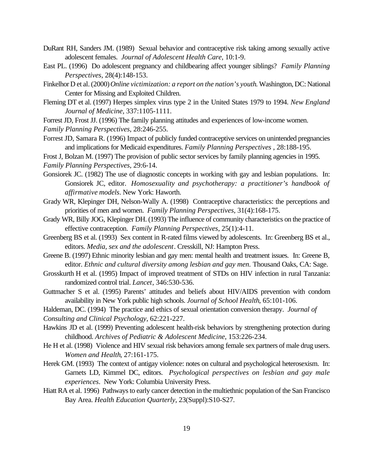- DuRant RH, Sanders JM. (1989) Sexual behavior and contraceptive risk taking among sexually active adolescent females. *Journal of Adolescent Health Care,* 10:1-9.
- East PL. (1996) Do adolescent pregnancy and childbearing affect younger siblings? *Family Planning Perspectives,* 28(4):148-153.
- Finkelhor D et al. (2000) *Online victimization: a report on the nation's youth*. Washington, DC: National Center for Missing and Exploited Children.
- Fleming DT et al. (1997) Herpes simplex virus type 2 in the United States 1979 to 1994. *New England Journal of Medicine,* 337:1105-1111.
- Forrest JD, Frost JJ. (1996) The family planning attitudes and experiences of low-income women.
- *Family Planning Perspectives*, 28:246-255.
- Forrest JD, Samara R. (1996) Impact of publicly funded contraceptive services on unintended pregnancies and implications for Medicaid expenditures. *Family Planning Perspectives* , 28:188-195.
- Frost J, Bolzan M. (1997) The provision of public sector services by family planning agencies in 1995.

*Family Planning Perspectives*, 29:6-14.

- Gonsiorek JC. (1982) The use of diagnostic concepts in working with gay and lesbian populations. In: Gonsiorek JC, editor. *Homosexuality and psychotherapy: a practitioner's handbook of affirmative models*. New York: Haworth.
- Grady WR, Klepinger DH, Nelson-Wally A. (1998) Contraceptive characteristics: the perceptions and priorities of men and women. *Family Planning Perspectives*, 31(4):168-175.
- Grady WR, Billy JOG, Klepinger DH. (1993) The influence of community characteristics on the practice of effective contraception. *Family Planning Perspectives*, 25(1):4-11.
- Greenberg BS et al. (1993) Sex content in R-rated films viewed by adolescents. In: Greenberg BS et al., editors. *Media, sex and the adolescent*. Cresskill, NJ: Hampton Press.
- Greene B. (1997) Ethnic minority lesbian and gay men: mental health and treatment issues. In: Greene B, editor. *Ethnic and cultural diversity among lesbian and gay men.* Thousand Oaks, CA: Sage.
- Grosskurth H et al. (1995) Impact of improved treatment of STDs on HIV infection in rural Tanzania: randomized control trial. *Lancet*, 346:530-536.
- Guttmacher S et al. (1995) Parents' attitudes and beliefs about HIV/AIDS prevention with condom availability in New York public high schools. *Journal of School Health*, 65:101-106.
- Haldeman, DC. (1994) The practice and ethics of sexual orientation conversion therapy. *Journal of*
- *Consulting and Clinical Psychology*, 62:221-227.
- Hawkins JD et al. (1999) Preventing adolescent health-risk behaviors by strengthening protection during childhood. *Archives of Pediatric & Adolescent Medicine*, 153:226-234.
- He H et al. (1998) Violence and HIV sexual risk behaviors among female sex partners of male drug users. *Women and Health*, 27:161-175.
- Herek GM. (1993) The context of antigay violence: notes on cultural and psychological heterosexism. In: Garnets LD, Kimmel DC, editors. *Psychological perspectives on lesbian and gay male experiences*. New York: Columbia University Press.
- Hiatt RA et al. 1996) Pathways to early cancer detection in the multiethnic population of the San Francisco Bay Area. *Health Education Quarterly*, 23(Suppl):S10-S27.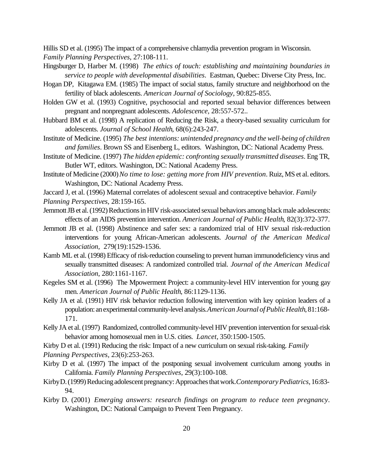Hillis SD et al. (1995) The impact of a comprehensive chlamydia prevention program in Wisconsin. *Family Planning Perspectives*, 27:108-111.

- Hingsburger D, Harber M. (1998) *The ethics of touch: establishing and maintaining boundaries in service to people with developmental disabilities*. Eastman, Quebec: Diverse City Press, Inc.
- Hogan DP, Kitagawa EM. (1985) The impact of social status, family structure and neighborhood on the fertility of black adolescents. *American Journal of Sociology*, 90:825-855.
- Holden GW et al. (1993) Cognitive, psychosocial and reported sexual behavior differences between pregnant and nonpregnant adolescents. *Adolescence,* 28:557-572..
- Hubbard BM et al. (1998) A replication of Reducing the Risk, a theory-based sexuality curriculum for adolescents. *Journal of School Health*, 68(6):243-247.
- Institute of Medicine. (1995) *The best intentions: unintended pregnancy and the well-being of children and families*. Brown SS and Eisenberg L, editors. Washington, DC: National Academy Press.
- Institute of Medicine. (1997) *The hidden epidemic: confronting sexually transmitted diseases*. Eng TR, Butler WT, editors. Washington, DC: National Academy Press.
- Institute of Medicine (2000) *No time to lose: getting more from HIV prevention*. Ruiz, MS et al. editors. Washington, DC: National Academy Press.
- Jaccard J, et al. (1996) Maternal correlates of adolescent sexual and contraceptive behavior. *Family*

*Planning Perspectives*, 28:159-165.

- Jemmott JB et al. (1992) Reductions in HIV risk-associated sexual behaviors among black male adolescents: effects of an AIDS prevention intervention. *American Journal of Public Health*, 82(3):372-377.
- Jemmott JB et al. (1998) Abstinence and safer sex: a randomized trial of HIV sexual risk-reduction interventions for young African-American adolescents. *Journal of the American Medical Association,* 279(19):1529-1536.
- Kamb ML et al. (1998) Efficacy of risk-reduction counseling to prevent human immunodeficiency virus and sexually transmitted diseases: A randomized controlled trial. *Journal of the American Medical Association*, 280:1161-1167.
- Kegeles SM et al. (1996) The Mpowerment Project: a community-level HIV intervention for young gay men. *American Journal of Public Health*, 86:1129-1136.
- Kelly JA et al. (1991) HIV risk behavior reduction following intervention with key opinion leaders of a population: an experimental community-level analysis. *American Journal of Public Health*, 81:168- 171.
- Kelly JA et al. (1997) Randomized, controlled community-level HIV prevention intervention for sexual-risk behavior among homosexual men in U.S. cities. *Lancet,* 350:1500-1505.

Kirby D et al. (1991) Reducing the risk: Impact of a new curriculum on sexual risk-taking. *Family Planning Perspectives,* 23(6):253-263.

- Kirby D et al. (1997) The impact of the postponing sexual involvement curriculum among youths in California. *Family Planning Perspectives*, 29(3):100-108.
- Kirby D. (1999) Reducing adolescent pregnancy: Approaches that work. *Contemporary Pediatrics,* 16:83- 94.
- Kirby D. (2001) *Emerging answers: research findings on program to reduce teen pregnancy*. Washington, DC: National Campaign to Prevent Teen Pregnancy.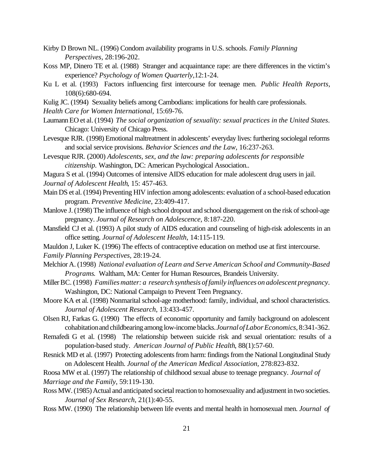- Kirby D Brown NL. (1996) Condom availability programs in U.S. schools. *Family Planning Perspectives,* 28:196-202.
- Koss MP, Dinero TE et al. (1988) Stranger and acquaintance rape: are there differences in the victim's experience? *Psychology of Women Quarterly*,12:1-24.
- Ku L et al. (1993) Factors influencing first intercourse for teenage men. *Public Health Reports,* 108(6):680-694.
- Kulig JC. (1994) Sexuality beliefs among Cambodians: implications for health care professionals.

*Health Care for Women International*, 15:69-76.

- Laumann EO et al. (1994) *The social organization of sexuality: sexual practices in the United States*. Chicago: University of Chicago Press.
- Levesque RJR. (1998) Emotional maltreatment in adolescents' everyday lives: furthering sociolegal reforms and social service provisions. *Behavior Sciences and the Law*, 16:237-263.
- Levesque RJR. (2000) *Adolescents, sex, and the law: preparing adolescents for responsible citizenship.* Washington, DC: American Psychological Association..

Magura S et al. (1994) Outcomes of intensive AIDS education for male adolescent drug users in jail.

*Journal of Adolescent Health*, 15: 457-463.

- Main DS et al. (1994) Preventing HIV infection among adolescents: evaluation of a school-based education program. *Preventive Medicine*, 23:409-417.
- Manlove J. (1998) The influence of high school dropout and school disengagement on the risk of school-age pregnancy. *Journal of Research on Adolescence*, 8:187-220.
- Mansfield CJ et al. (1993) A pilot study of AIDS education and counseling of high-risk adolescents in an office setting. *Journal of Adolescent Health,* 14:115-119.

Mauldon J, Luker K. (1996) The effects of contraceptive education on method use at first intercourse.

*Family Planning Perspectives,* 28:19-24.

- Melchior A. (1998) *National evaluation of Learn and Serve American School and Community-Based Programs*. Waltham, MA: Center for Human Resources, Brandeis University.
- Miller BC. (1998) *Families matter: a research synthesis of family influences on adolescent pregnancy*. Washington, DC: National Campaign to Prevent Teen Pregnancy.
- Moore KA et al. (1998) Nonmarital school-age motherhood: family, individual, and school characteristics. *Journal of Adolescent Research*, 13:433-457.
- Olsen RJ, Farkas G. (1990) The effects of economic opportunity and family background on adolescent cohabitation and childbearing among low-income blacks. *Journal of Labor Economics*, 8:341-362.
- Remafedi G et al. (1998) The relationship between suicide risk and sexual orientation: results of a population-based study. *American Journal of Public Health*, 88(1):57-60.
- Resnick MD et al. (1997) Protecting adolescents from harm: findings from the National Longitudinal Study on Adolescent Health. *Journal of the American Medical Association,* 278:823-832.

Roosa MW et al. (1997) The relationship of childhood sexual abuse to teenage pregnancy. *Journal of Marriage and the Family*, 59:119-130.

Ross MW. (1985) Actual and anticipated societal reaction to homosexuality and adjustment in two societies. *Journal of Sex Research*, 21(1):40-55.

Ross MW. (1990) The relationship between life events and mental health in homosexual men. *Journal of*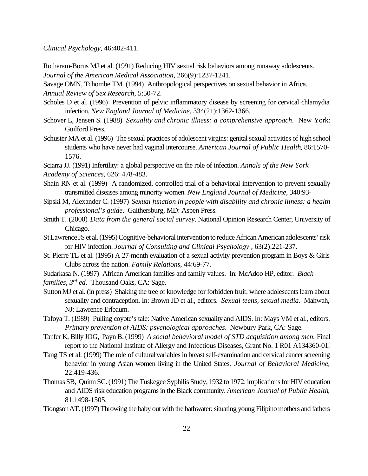*Clinical Psychology*, 46:402-411.

Rotheram-Borus MJ et al. (1991) Reducing HIV sexual risk behaviors among runaway adolescents. *Journal of the American Medical Association,* 266(9):1237-1241.

Savage OMN, Tchombe TM. (1994) Anthropological perspectives on sexual behavior in Africa.

*Annual Review of Sex Research*, 5:50-72.

- Scholes D et al. (1996) Prevention of pelvic inflammatory disease by screening for cervical chlamydia infection. *New England Journal of Medicine*, 334(21):1362-1366.
- Schover L, Jensen S. (1988) *Sexuality and chronic illness: a comprehensive approach*. New York: Guilford Press.
- Schuster MA et al. (1996) The sexual practices of adolescent virgins: genital sexual activities of high school students who have never had vaginal intercourse. *American Journal of Public Health*, 86:1570- 1576.

Sciarra JJ. (1991) Infertility: a global perspective on the role of infection. *Annals of the New York Academy of Sciences*, 626: 478-483.

- Shain RN et al. (1999) A randomized, controlled trial of a behavioral intervention to prevent sexually transmitted diseases among minority women. *New England Journal of Medicine*, 340:93-
- Sipski M, Alexander C. (1997) *Sexual function in people with disability and chronic illness: a health professional's guide*. Gaithersburg, MD: Aspen Press.
- Smith T. (2000) *Data from the general social survey*. National Opinion Research Center, University of Chicago.
- St Lawrence JS et al. (1995) Cognitive-behavioral intervention to reduce African American adolescents' risk for HIV infection. *Journal of Consulting and Clinical Psychology ,* 63(2):221-237.
- St. Pierre TL et al. (1995) A 27-month evaluation of a sexual activity prevention program in Boys & Girls Clubs across the nation. *Family Relations*, 44:69-77.
- Sudarkasa N. (1997) African American families and family values. In: McAdoo HP, editor. *Black*

*families, 3rd ed.* Thousand Oaks, CA: Sage.

- Sutton MJ et al. (in press) Shaking the tree of knowledge for forbidden fruit: where adolescents learn about sexuality and contraception. In: Brown JD et al., editors. *Sexual teens, sexual media*. Mahwah, NJ: Lawrence Erlbaum.
- Tafoya T. (1989) Pulling coyote's tale: Native American sexuality and AIDS. In: Mays VM et al., editors. *Primary prevention of AIDS: psychological approaches*. Newbury Park, CA: Sage.
- Tanfer K, Billy JOG, Payn B. (1999) *A social behavioral model of STD acquisition among men.* Final report to the National Institute of Allergy and Infectious Diseases, Grant No. 1 R01 A134360-01.
- Tang TS et al. (1999) The role of cultural variables in breast self-examination and cervical cancer screening behavior in young Asian women living in the United States. *Journal of Behavioral Medicine,* 22:419-436.
- Thomas SB, Quinn SC. (1991) The Tuskegee Syphilis Study, 1932 to 1972: implications for HIV education and AIDS risk education programs in the Black community. *American Journal of Public Health*, 81:1498-1505.
- Tiongson AT. (1997) Throwing the baby out with the bathwater: situating young Filipino mothers and fathers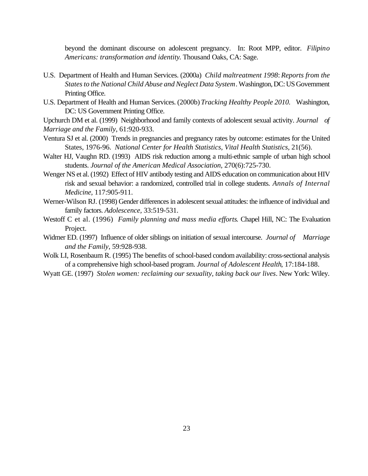beyond the dominant discourse on adolescent pregnancy. In: Root MPP, editor. *Filipino Americans: transformation and identity*. Thousand Oaks, CA: Sage.

- U.S. Department of Health and Human Services. (2000a) *Child maltreatment 1998*: *Reports from the States to the National Child Abuse and Neglect Data System*. Washington, DC: US Government Printing Office.
- U.S. Department of Health and Human Services. (2000b) *Tracking Healthy People 2010.* Washington, DC: US Government Printing Office.

Upchurch DM et al. (1999) Neighborhood and family contexts of adolescent sexual activity. *Journal of Marriage and the Family*, 61:920-933.

- Ventura SJ et al. (2000) Trends in pregnancies and pregnancy rates by outcome: estimates for the United States, 1976-96. *National Center for Health Statistics, Vital Health Statistics*, 21(56).
- Walter HJ, Vaughn RD. (1993) AIDS risk reduction among a multi-ethnic sample of urban high school students. *Journal of the American Medical Association,* 270(6):725-730.
- Wenger NS et al. (1992) Effect of HIV antibody testing and AIDS education on communication about HIV risk and sexual behavior: a randomized, controlled trial in college students. *Annals of Internal Medicine,* 117:905-911.
- Werner-Wilson RJ. (1998) Gender differences in adolescent sexual attitudes: the influence of individual and family factors. *Adolescence,* 33:519-531.
- Westoff C et al. (1996) *Family planning and mass media efforts*. Chapel Hill, NC: The Evaluation Project.
- Widmer ED. (1997) Influence of older siblings on initiation of sexual intercourse. *Journal of Marriage and the Family*, 59:928-938.
- Wolk LI, Rosenbaum R. (1995) The benefits of school-based condom availability: cross-sectional analysis of a comprehensive high school-based program. *Journal of Adolescent Health*, 17:184-188.
- Wyatt GE. (1997) *Stolen women: reclaiming our sexuality, taking back our lives*. New York: Wiley.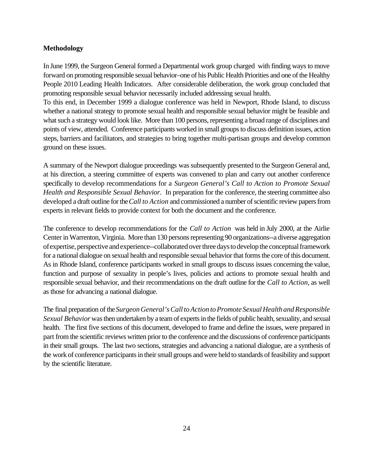## **Methodology**

In June 1999, the Surgeon General formed a Departmental work group charged with finding ways to move forward on promoting responsible sexual behavior–one of his Public Health Priorities and one of the Healthy People 2010 Leading Health Indicators. After considerable deliberation, the work group concluded that promoting responsible sexual behavior necessarily included addressing sexual health.

To this end, in December 1999 a dialogue conference was held in Newport, Rhode Island, to discuss whether a national strategy to promote sexual health and responsible sexual behavior might be feasible and what such a strategy would look like. More than 100 persons, representing a broad range of disciplines and points of view, attended. Conference participants worked in small groups to discuss definition issues, action steps, barriers and facilitators, and strategies to bring together multi-partisan groups and develop common ground on these issues.

A summary of the Newport dialogue proceedings was subsequently presented to the Surgeon General and, at his direction, a steering committee of experts was convened to plan and carry out another conference specifically to develop recommendations for a *Surgeon General's Call to Action to Promote Sexual Health and Responsible Sexual Behavior.* In preparation for the conference, the steering committee also developed a draft outline for the *Call to Action* and commissioned a number of scientific review papers from experts in relevant fields to provide context for both the document and the conference.

The conference to develop recommendations for the *Call to Action* was held in July 2000, at the Airlie Center in Warrenton, Virginia. More than 130 persons representing 90 organizations--a diverse aggregation of expertise, perspective and experience--collaborated over three days to develop the conceptual framework for a national dialogue on sexual health and responsible sexual behavior that forms the core of this document. As in Rhode Island, conference participants worked in small groups to discuss issues concerning the value, function and purpose of sexuality in people's lives, policies and actions to promote sexual health and responsible sexual behavior, and their recommendations on the draft outline for the *Call to Action*, as well as those for advancing a national dialogue.

The final preparation of the *Surgeon General's Call to Action to Promote Sexual Health and Responsible Sexual Behavior* was then undertaken by a team of experts in the fields of public health, sexuality, and sexual health. The first five sections of this document, developed to frame and define the issues, were prepared in part from the scientific reviews written prior to the conference and the discussions of conference participants in their small groups. The last two sections, strategies and advancing a national dialogue, are a synthesis of the work of conference participants in their small groups and were held to standards of feasibility and support by the scientific literature.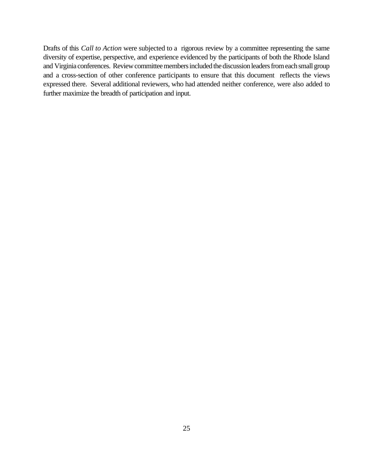Drafts of this *Call to Action* were subjected to a rigorous review by a committee representing the same diversity of expertise, perspective, and experience evidenced by the participants of both the Rhode Island and Virginia conferences. Review committee members included the discussion leaders from each small group and a cross-section of other conference participants to ensure that this document reflects the views expressed there. Several additional reviewers, who had attended neither conference, were also added to further maximize the breadth of participation and input.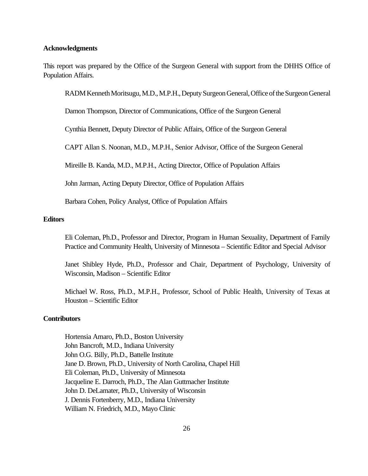#### **Acknowledgments**

This report was prepared by the Office of the Surgeon General with support from the DHHS Office of Population Affairs.

RADM Kenneth Moritsugu, M.D., M.P.H., Deputy Surgeon General, Office of the Surgeon General

Damon Thompson, Director of Communications, Office of the Surgeon General

Cynthia Bennett, Deputy Director of Public Affairs, Office of the Surgeon General

CAPT Allan S. Noonan, M.D., M.P.H., Senior Advisor, Office of the Surgeon General

Mireille B. Kanda, M.D., M.P.H., Acting Director, Office of Population Affairs

John Jarman, Acting Deputy Director, Office of Population Affairs

Barbara Cohen, Policy Analyst, Office of Population Affairs

#### **Editors**

Eli Coleman, Ph.D., Professor and Director, Program in Human Sexuality, Department of Family Practice and Community Health, University of Minnesota – Scientific Editor and Special Advisor

Janet Shibley Hyde, Ph.D., Professor and Chair, Department of Psychology, University of Wisconsin, Madison – Scientific Editor

Michael W. Ross, Ph.D., M.P.H., Professor, School of Public Health, University of Texas at Houston – Scientific Editor

# **Contributors**

Hortensia Amaro, Ph.D., Boston University John Bancroft, M.D., Indiana University John O.G. Billy, Ph.D., Battelle Institute Jane D. Brown, Ph.D., University of North Carolina, Chapel Hill Eli Coleman, Ph.D., University of Minnesota Jacqueline E. Darroch, Ph.D., The Alan Guttmacher Institute John D. DeLamater, Ph.D., University of Wisconsin J. Dennis Fortenberry, M.D., Indiana University William N. Friedrich, M.D., Mayo Clinic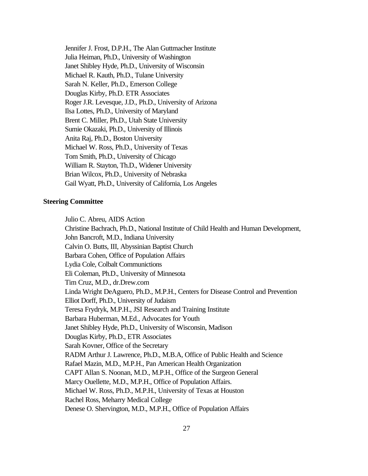Jennifer J. Frost, D.P.H., The Alan Guttmacher Institute Julia Heiman, Ph.D., University of Washington Janet Shibley Hyde, Ph.D., University of Wisconsin Michael R. Kauth, Ph.D., Tulane University Sarah N. Keller, Ph.D., Emerson College Douglas Kirby, Ph.D. ETR Associates Roger J.R. Levesque, J.D., Ph.D., University of Arizona Ilsa Lottes, Ph.D., University of Maryland Brent C. Miller, Ph.D., Utah State University Sumie Okazaki, Ph.D., University of Illinois Anita Raj, Ph.D., Boston University Michael W. Ross, Ph.D., University of Texas Tom Smith, Ph.D., University of Chicago William R. Stayton, Th.D., Widener University Brian Wilcox, Ph.D., University of Nebraska Gail Wyatt, Ph.D., University of California, Los Angeles

## **Steering Committee**

Julio C. Abreu, AIDS Action Christine Bachrach, Ph.D., National Institute of Child Health and Human Development, John Bancroft, M.D., Indiana University Calvin O. Butts, III, Abyssinian Baptist Church Barbara Cohen, Office of Population Affairs Lydia Cole, Colbalt Communictions Eli Coleman, Ph.D., University of Minnesota Tim Cruz, M.D., dr.Drew.com Linda Wright DeAguero, Ph.D., M.P.H., Centers for Disease Control and Prevention Elliot Dorff, Ph.D., University of Judaism Teresa Frydryk, M.P.H., JSI Research and Training Institute Barbara Huberman, M.Ed., Advocates for Youth Janet Shibley Hyde, Ph.D., University of Wisconsin, Madison Douglas Kirby, Ph.D., ETR Associates Sarah Kovner, Office of the Secretary RADM Arthur J. Lawrence, Ph.D., M.B.A, Office of Public Health and Science Rafael Mazin, M.D., M.P.H., Pan American Health Organization CAPT Allan S. Noonan, M.D., M.P.H., Office of the Surgeon General Marcy Ouellette, M.D., M.P.H., Office of Population Affairs. Michael W. Ross, Ph.D., M.P.H., University of Texas at Houston Rachel Ross, Meharry Medical College Denese O. Shervington, M.D., M.P.H., Office of Population Affairs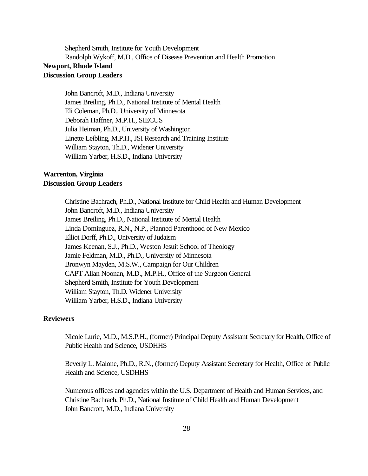Shepherd Smith, Institute for Youth Development Randolph Wykoff, M.D., Office of Disease Prevention and Health Promotion **Newport, Rhode Island Discussion Group Leaders**

John Bancroft, M.D., Indiana University James Breiling, Ph.D., National Institute of Mental Health Eli Coleman, Ph.D., University of Minnesota Deborah Haffner, M.P.H., SIECUS Julia Heiman, Ph.D., University of Washington Linette Leibling, M.P.H., JSI Research and Training Institute William Stayton, Th.D., Widener University William Yarber, H.S.D., Indiana University

# **Warrenton, Virginia Discussion Group Leaders**

Christine Bachrach, Ph.D., National Institute for Child Health and Human Development John Bancroft, M.D., Indiana University James Breiling, Ph.D., National Institute of Mental Health Linda Dominguez, R.N., N.P., Planned Parenthood of New Mexico Elliot Dorff, Ph.D., University of Judaism James Keenan, S.J., Ph.D., Weston Jesuit School of Theology Jamie Feldman, M.D., Ph.D., University of Minnesota Bronwyn Mayden, M.S.W., Campaign for Our Children CAPT Allan Noonan, M.D., M.P.H., Office of the Surgeon General Shepherd Smith, Institute for Youth Development William Stayton, Th.D. Widener University William Yarber, H.S.D., Indiana University

# **Reviewers**

Nicole Lurie, M.D., M.S.P.H., (former) Principal Deputy Assistant Secretary for Health, Office of Public Health and Science, USDHHS

Beverly L. Malone, Ph.D., R.N., (former) Deputy Assistant Secretary for Health, Office of Public Health and Science, USDHHS

Numerous offices and agencies within the U.S. Department of Health and Human Services, and Christine Bachrach, Ph.D., National Institute of Child Health and Human Development John Bancroft, M.D., Indiana University